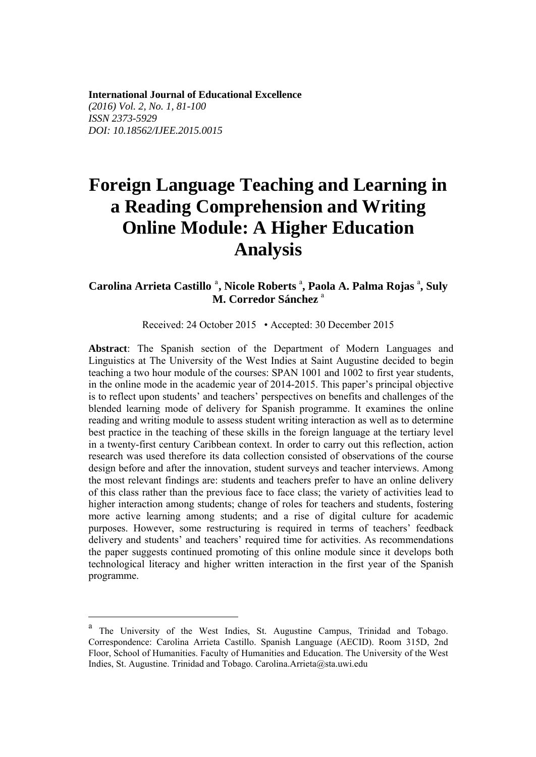**International Journal of Educational Excellence** *(2016) Vol. 2, No. 1, 81-100 ISSN 2373-5929 DOI: 10.18562/IJEE.2015.0015* 

# **Foreign Language Teaching and Learning in a Reading Comprehension and Writing Online Module: A Higher Education Analysis**

# C[a](#page-0-0)rolina Arrieta Castillo<sup>a</sup>, Nicole Roberts<sup>a</sup>, Paola A. Palma Rojas<sup>a</sup>, Suly **M. Corredor Sánchez** <sup>a</sup>

Received: 24 October 2015 • Accepted: 30 December 2015

**Abstract**: The Spanish section of the Department of Modern Languages and Linguistics at The University of the West Indies at Saint Augustine decided to begin teaching a two hour module of the courses: SPAN 1001 and 1002 to first year students, in the online mode in the academic year of 2014-2015. This paper's principal objective is to reflect upon students' and teachers' perspectives on benefits and challenges of the blended learning mode of delivery for Spanish programme. It examines the online reading and writing module to assess student writing interaction as well as to determine best practice in the teaching of these skills in the foreign language at the tertiary level in a twenty-first century Caribbean context. In order to carry out this reflection, action research was used therefore its data collection consisted of observations of the course design before and after the innovation, student surveys and teacher interviews. Among the most relevant findings are: students and teachers prefer to have an online delivery of this class rather than the previous face to face class; the variety of activities lead to higher interaction among students; change of roles for teachers and students, fostering more active learning among students; and a rise of digital culture for academic purposes. However, some restructuring is required in terms of teachers' feedback delivery and students' and teachers' required time for activities. As recommendations the paper suggests continued promoting of this online module since it develops both technological literacy and higher written interaction in the first year of the Spanish programme.

<u>.</u>

<span id="page-0-0"></span><sup>a</sup> The University of the West Indies, St. Augustine Campus, Trinidad and Tobago. Correspondence: Carolina Arrieta Castillo. Spanish Language (AECID). Room 315D, 2nd Floor, School of Humanities. Faculty of Humanities and Education. The University of the West Indies, St. Augustine. Trinidad and Tobago. Carolina.Arrieta@sta.uwi.edu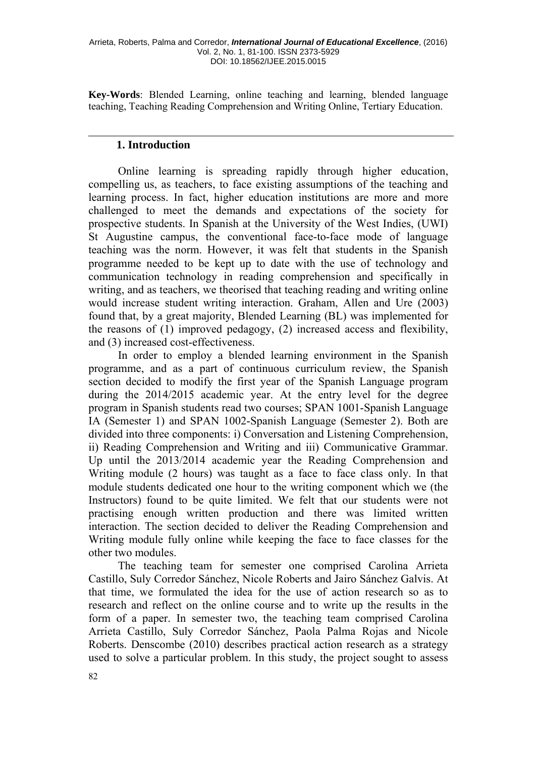**Key-Words**: Blended Learning, online teaching and learning, blended language teaching, Teaching Reading Comprehension and Writing Online, Tertiary Education.

#### **1. Introduction**

Online learning is spreading rapidly through higher education, compelling us, as teachers, to face existing assumptions of the teaching and learning process. In fact, higher education institutions are more and more challenged to meet the demands and expectations of the society for prospective students. In Spanish at the University of the West Indies, (UWI) St Augustine campus, the conventional face-to-face mode of language teaching was the norm. However, it was felt that students in the Spanish programme needed to be kept up to date with the use of technology and communication technology in reading comprehension and specifically in writing, and as teachers, we theorised that teaching reading and writing online would increase student writing interaction. Graham, Allen and Ure (2003) found that, by a great majority, Blended Learning (BL) was implemented for the reasons of (1) improved pedagogy, (2) increased access and flexibility, and (3) increased cost-effectiveness.

In order to employ a blended learning environment in the Spanish programme, and as a part of continuous curriculum review, the Spanish section decided to modify the first year of the Spanish Language program during the 2014/2015 academic year. At the entry level for the degree program in Spanish students read two courses; SPAN 1001-Spanish Language IA (Semester 1) and SPAN 1002-Spanish Language (Semester 2). Both are divided into three components: i) Conversation and Listening Comprehension, ii) Reading Comprehension and Writing and iii) Communicative Grammar. Up until the 2013/2014 academic year the Reading Comprehension and Writing module (2 hours) was taught as a face to face class only. In that module students dedicated one hour to the writing component which we (the Instructors) found to be quite limited. We felt that our students were not practising enough written production and there was limited written interaction. The section decided to deliver the Reading Comprehension and Writing module fully online while keeping the face to face classes for the other two modules.

The teaching team for semester one comprised Carolina Arrieta Castillo, Suly Corredor Sánchez, Nicole Roberts and Jairo Sánchez Galvis. At that time, we formulated the idea for the use of action research so as to research and reflect on the online course and to write up the results in the form of a paper. In semester two, the teaching team comprised Carolina Arrieta Castillo, Suly Corredor Sánchez, Paola Palma Rojas and Nicole Roberts. Denscombe (2010) describes practical action research as a strategy used to solve a particular problem. In this study, the project sought to assess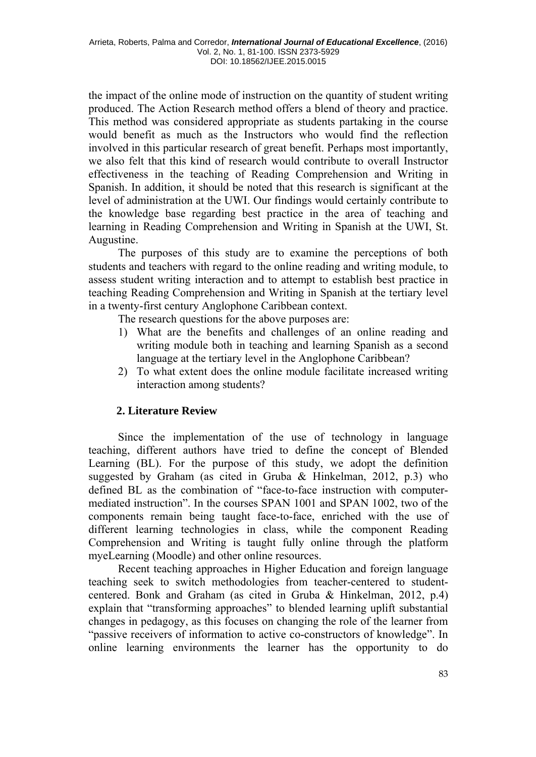the impact of the online mode of instruction on the quantity of student writing produced. The Action Research method offers a blend of theory and practice. This method was considered appropriate as students partaking in the course would benefit as much as the Instructors who would find the reflection involved in this particular research of great benefit. Perhaps most importantly, we also felt that this kind of research would contribute to overall Instructor effectiveness in the teaching of Reading Comprehension and Writing in Spanish. In addition, it should be noted that this research is significant at the level of administration at the UWI. Our findings would certainly contribute to the knowledge base regarding best practice in the area of teaching and learning in Reading Comprehension and Writing in Spanish at the UWI, St. Augustine.

The purposes of this study are to examine the perceptions of both students and teachers with regard to the online reading and writing module, to assess student writing interaction and to attempt to establish best practice in teaching Reading Comprehension and Writing in Spanish at the tertiary level in a twenty-first century Anglophone Caribbean context.

The research questions for the above purposes are:

- 1) What are the benefits and challenges of an online reading and writing module both in teaching and learning Spanish as a second language at the tertiary level in the Anglophone Caribbean?
- 2) To what extent does the online module facilitate increased writing interaction among students?

# **2. Literature Review**

Since the implementation of the use of technology in language teaching, different authors have tried to define the concept of Blended Learning (BL). For the purpose of this study, we adopt the definition suggested by Graham (as cited in Gruba & Hinkelman, 2012, p.3) who defined BL as the combination of "face-to-face instruction with computermediated instruction". In the courses SPAN 1001 and SPAN 1002, two of the components remain being taught face-to-face, enriched with the use of different learning technologies in class, while the component Reading Comprehension and Writing is taught fully online through the platform myeLearning (Moodle) and other online resources.

Recent teaching approaches in Higher Education and foreign language teaching seek to switch methodologies from teacher-centered to studentcentered. Bonk and Graham (as cited in Gruba & Hinkelman, 2012, p.4) explain that "transforming approaches" to blended learning uplift substantial changes in pedagogy, as this focuses on changing the role of the learner from "passive receivers of information to active co-constructors of knowledge". In online learning environments the learner has the opportunity to do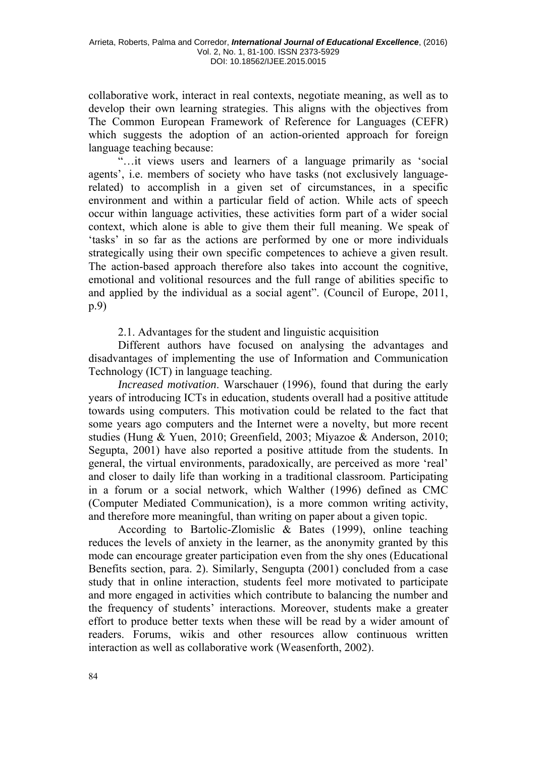collaborative work, interact in real contexts, negotiate meaning, as well as to develop their own learning strategies. This aligns with the objectives from The Common European Framework of Reference for Languages (CEFR) which suggests the adoption of an action-oriented approach for foreign language teaching because:

"…it views users and learners of a language primarily as 'social agents', i.e. members of society who have tasks (not exclusively languagerelated) to accomplish in a given set of circumstances, in a specific environment and within a particular field of action. While acts of speech occur within language activities, these activities form part of a wider social context, which alone is able to give them their full meaning. We speak of 'tasks' in so far as the actions are performed by one or more individuals strategically using their own specific competences to achieve a given result. The action-based approach therefore also takes into account the cognitive, emotional and volitional resources and the full range of abilities specific to and applied by the individual as a social agent". (Council of Europe, 2011, p.9)

2.1. Advantages for the student and linguistic acquisition

Different authors have focused on analysing the advantages and disadvantages of implementing the use of Information and Communication Technology (ICT) in language teaching.

*Increased motivation*. Warschauer (1996), found that during the early years of introducing ICTs in education, students overall had a positive attitude towards using computers. This motivation could be related to the fact that some years ago computers and the Internet were a novelty, but more recent studies (Hung & Yuen, 2010; Greenfield, 2003; Miyazoe & Anderson, 2010; Segupta, 2001) have also reported a positive attitude from the students. In general, the virtual environments, paradoxically, are perceived as more 'real' and closer to daily life than working in a traditional classroom. Participating in a forum or a social network, which Walther (1996) defined as CMC (Computer Mediated Communication), is a more common writing activity, and therefore more meaningful, than writing on paper about a given topic.

According to Bartolic-Zlomislic & Bates (1999), online teaching reduces the levels of anxiety in the learner, as the anonymity granted by this mode can encourage greater participation even from the shy ones (Educational Benefits section, para. 2). Similarly, Sengupta (2001) concluded from a case study that in online interaction, students feel more motivated to participate and more engaged in activities which contribute to balancing the number and the frequency of students' interactions. Moreover, students make a greater effort to produce better texts when these will be read by a wider amount of readers. Forums, wikis and other resources allow continuous written interaction as well as collaborative work (Weasenforth, 2002).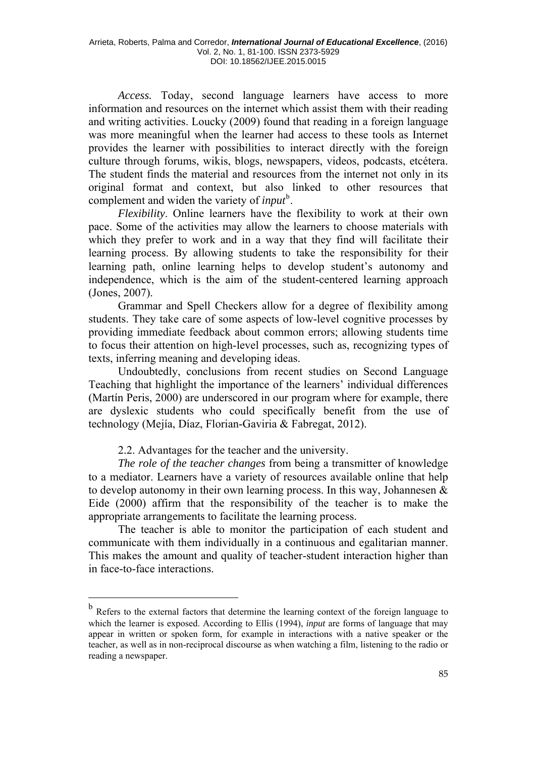*Access.* Today, second language learners have access to more information and resources on the internet which assist them with their reading and writing activities. Loucky (2009) found that reading in a foreign language was more meaningful when the learner had access to these tools as Internet provides the learner with possibilities to interact directly with the foreign culture through forums, wikis, blogs, newspapers, videos, podcasts, etcétera. The student finds the material and resources from the internet not only in its original format and context, but also linked to other resources that complement and widen the variety of *input*<sup>[b](#page-4-0)</sup>.

*Flexibility*. Online learners have the flexibility to work at their own pace. Some of the activities may allow the learners to choose materials with which they prefer to work and in a way that they find will facilitate their learning process. By allowing students to take the responsibility for their learning path, online learning helps to develop student's autonomy and independence, which is the aim of the student-centered learning approach (Jones, 2007).

Grammar and Spell Checkers allow for a degree of flexibility among students. They take care of some aspects of low-level cognitive processes by providing immediate feedback about common errors; allowing students time to focus their attention on high-level processes, such as, recognizing types of texts, inferring meaning and developing ideas.

Undoubtedly, conclusions from recent studies on Second Language Teaching that highlight the importance of the learners' individual differences (Martín Peris, 2000) are underscored in our program where for example, there are dyslexic students who could specifically benefit from the use of technology (Mejía, Díaz, Florian-Gaviria & Fabregat, 2012).

2.2. Advantages for the teacher and the university.

1

*The role of the teacher changes* from being a transmitter of knowledge to a mediator. Learners have a variety of resources available online that help to develop autonomy in their own learning process. In this way, Johannesen & Eide (2000) affirm that the responsibility of the teacher is to make the appropriate arrangements to facilitate the learning process.

The teacher is able to monitor the participation of each student and communicate with them individually in a continuous and egalitarian manner. This makes the amount and quality of teacher-student interaction higher than in face-to-face interactions.

<span id="page-4-0"></span><sup>&</sup>lt;sup>b</sup> Refers to the external factors that determine the learning context of the foreign language to which the learner is exposed. According to Ellis (1994), *input* are forms of language that may appear in written or spoken form, for example in interactions with a native speaker or the teacher, as well as in non-reciprocal discourse as when watching a film, listening to the radio or reading a newspaper.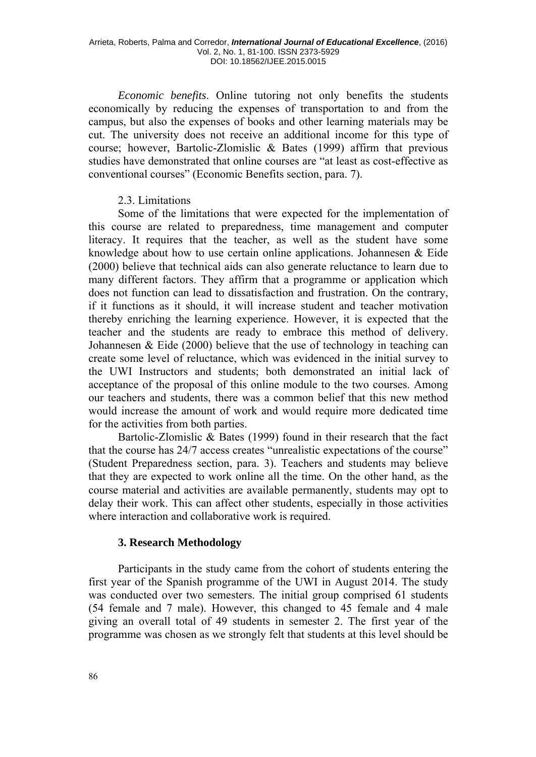*Economic benefits*. Online tutoring not only benefits the students economically by reducing the expenses of transportation to and from the campus, but also the expenses of books and other learning materials may be cut. The university does not receive an additional income for this type of course; however, Bartolic-Zlomislic & Bates (1999) affirm that previous studies have demonstrated that online courses are "at least as cost-effective as conventional courses" (Economic Benefits section, para. 7).

## 2.3. Limitations

Some of the limitations that were expected for the implementation of this course are related to preparedness, time management and computer literacy. It requires that the teacher, as well as the student have some knowledge about how to use certain online applications. Johannesen & Eide (2000) believe that technical aids can also generate reluctance to learn due to many different factors. They affirm that a programme or application which does not function can lead to dissatisfaction and frustration. On the contrary, if it functions as it should, it will increase student and teacher motivation thereby enriching the learning experience. However, it is expected that the teacher and the students are ready to embrace this method of delivery. Johannesen  $& \text{Eide}$  (2000) believe that the use of technology in teaching can create some level of reluctance, which was evidenced in the initial survey to the UWI Instructors and students; both demonstrated an initial lack of acceptance of the proposal of this online module to the two courses. Among our teachers and students, there was a common belief that this new method would increase the amount of work and would require more dedicated time for the activities from both parties.

Bartolic-Zlomislic & Bates (1999) found in their research that the fact that the course has 24/7 access creates "unrealistic expectations of the course" (Student Preparedness section, para. 3). Teachers and students may believe that they are expected to work online all the time. On the other hand, as the course material and activities are available permanently, students may opt to delay their work. This can affect other students, especially in those activities where interaction and collaborative work is required.

# **3. Research Methodology**

Participants in the study came from the cohort of students entering the first year of the Spanish programme of the UWI in August 2014. The study was conducted over two semesters. The initial group comprised 61 students (54 female and 7 male). However, this changed to 45 female and 4 male giving an overall total of 49 students in semester 2. The first year of the programme was chosen as we strongly felt that students at this level should be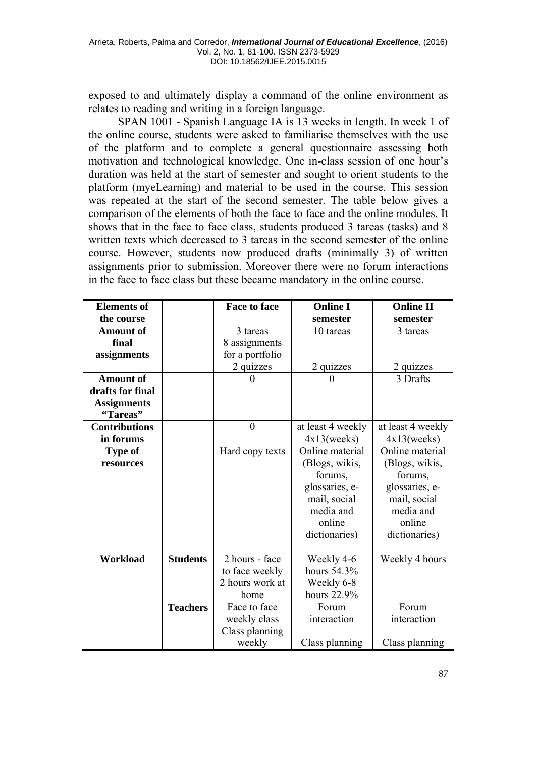exposed to and ultimately display a command of the online environment as relates to reading and writing in a foreign language.

SPAN 1001 - Spanish Language IA is 13 weeks in length. In week 1 of the online course, students were asked to familiarise themselves with the use of the platform and to complete a general questionnaire assessing both motivation and technological knowledge. One in-class session of one hour's duration was held at the start of semester and sought to orient students to the platform (myeLearning) and material to be used in the course. This session was repeated at the start of the second semester. The table below gives a comparison of the elements of both the face to face and the online modules. It shows that in the face to face class, students produced 3 tareas (tasks) and 8 written texts which decreased to 3 tareas in the second semester of the online course. However, students now produced drafts (minimally 3) of written assignments prior to submission. Moreover there were no forum interactions in the face to face class but these became mandatory in the online course.

| <b>Elements of</b>   |                 | <b>Face to face</b> | <b>Online I</b>   | <b>Online II</b>  |
|----------------------|-----------------|---------------------|-------------------|-------------------|
| the course           |                 |                     | semester          | semester          |
| <b>Amount of</b>     |                 | 3 tareas            | 10 tareas         | 3 tareas          |
| final                |                 | 8 assignments       |                   |                   |
| assignments          |                 | for a portfolio     |                   |                   |
|                      |                 | 2 quizzes           | 2 quizzes         | 2 quizzes         |
| <b>Amount of</b>     |                 |                     | $_{0}$            | 3 Drafts          |
| drafts for final     |                 |                     |                   |                   |
| <b>Assignments</b>   |                 |                     |                   |                   |
| "Tareas"             |                 |                     |                   |                   |
| <b>Contributions</b> |                 | $\overline{0}$      | at least 4 weekly | at least 4 weekly |
| in forums            |                 |                     | 4x13( weeks)      | 4x13( weeks)      |
| Type of              |                 | Hard copy texts     | Online material   | Online material   |
| resources            |                 |                     | (Blogs, wikis,    | (Blogs, wikis,    |
|                      |                 |                     | forums,           | forums,           |
|                      |                 |                     | glossaries, e-    | glossaries, e-    |
|                      |                 |                     | mail, social      | mail, social      |
|                      |                 |                     | media and         | media and         |
|                      |                 |                     | online            | online            |
|                      |                 |                     | dictionaries)     | dictionaries)     |
|                      |                 |                     |                   |                   |
| Workload             | <b>Students</b> | 2 hours - face      | Weekly 4-6        | Weekly 4 hours    |
|                      |                 | to face weekly      | hours 54.3%       |                   |
|                      |                 | 2 hours work at     | Weekly 6-8        |                   |
|                      |                 | home                | hours 22.9%       |                   |
|                      | <b>Teachers</b> | Face to face        | Forum             | Forum             |
|                      |                 | weekly class        | interaction       | interaction       |
|                      |                 | Class planning      |                   |                   |
|                      |                 | weekly              | Class planning    | Class planning    |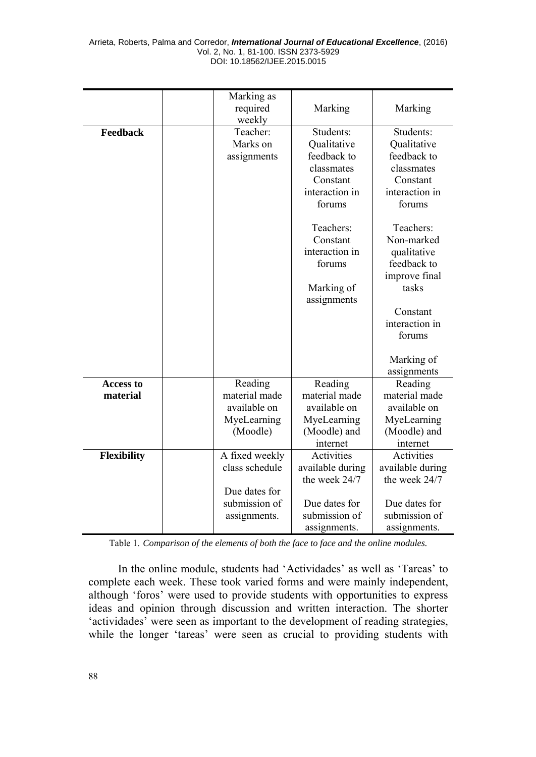|                  | Marking as<br>required<br>weekly | Marking                       | Marking                     |
|------------------|----------------------------------|-------------------------------|-----------------------------|
| Feedback         | Teacher:                         | Students:                     | Students:                   |
|                  | Marks on                         | Qualitative                   | Qualitative                 |
|                  | assignments                      | feedback to                   | feedback to                 |
|                  |                                  | classmates                    | classmates                  |
|                  |                                  | Constant                      | Constant                    |
|                  |                                  | interaction in                | interaction in              |
|                  |                                  | forums                        | forums                      |
|                  |                                  |                               |                             |
|                  |                                  | Teachers:                     | Teachers:                   |
|                  |                                  | Constant                      | Non-marked                  |
|                  |                                  | interaction in                | qualitative                 |
|                  |                                  | forums                        | feedback to                 |
|                  |                                  |                               | improve final               |
|                  |                                  | Marking of                    | tasks                       |
|                  |                                  | assignments                   |                             |
|                  |                                  |                               | Constant                    |
|                  |                                  |                               | interaction in              |
|                  |                                  |                               | forums                      |
|                  |                                  |                               |                             |
|                  |                                  |                               | Marking of                  |
|                  |                                  |                               | assignments                 |
| <b>Access to</b> | Reading                          | Reading                       | Reading                     |
| material         | material made                    | material made<br>available on | material made               |
|                  | available on<br>MyeLearning      |                               | available on                |
|                  | (Moodle)                         | MyeLearning<br>(Moodle) and   | MyeLearning<br>(Moodle) and |
|                  |                                  | internet                      | internet                    |
| Flexibility      | A fixed weekly                   | Activities                    | Activities                  |
|                  | class schedule                   | available during              | available during            |
|                  |                                  | the week 24/7                 | the week 24/7               |
|                  | Due dates for                    |                               |                             |
|                  | submission of                    | Due dates for                 | Due dates for               |
|                  | assignments.                     | submission of                 | submission of               |
|                  |                                  | assignments.                  | assignments.                |

Table 1. *Comparison of the elements of both the face to face and the online modules.*

In the online module, students had 'Actividades' as well as 'Tareas' to complete each week. These took varied forms and were mainly independent, although 'foros' were used to provide students with opportunities to express ideas and opinion through discussion and written interaction. The shorter 'actividades' were seen as important to the development of reading strategies, while the longer 'tareas' were seen as crucial to providing students with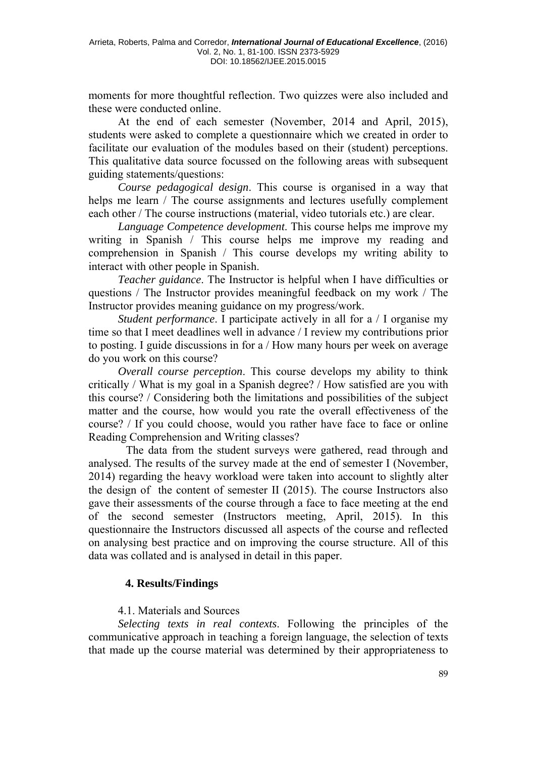moments for more thoughtful reflection. Two quizzes were also included and these were conducted online.

At the end of each semester (November, 2014 and April, 2015), students were asked to complete a questionnaire which we created in order to facilitate our evaluation of the modules based on their (student) perceptions. This qualitative data source focussed on the following areas with subsequent guiding statements/questions:

*Course pedagogical design*. This course is organised in a way that helps me learn / The course assignments and lectures usefully complement each other / The course instructions (material, video tutorials etc.) are clear.

*Language Competence development*. This course helps me improve my writing in Spanish / This course helps me improve my reading and comprehension in Spanish / This course develops my writing ability to interact with other people in Spanish.

*Teacher guidance*. The Instructor is helpful when I have difficulties or questions / The Instructor provides meaningful feedback on my work / The Instructor provides meaning guidance on my progress/work.

*Student performance*. I participate actively in all for a / I organise my time so that I meet deadlines well in advance / I review my contributions prior to posting. I guide discussions in for a / How many hours per week on average do you work on this course?

*Overall course perception*. This course develops my ability to think critically / What is my goal in a Spanish degree? / How satisfied are you with this course? / Considering both the limitations and possibilities of the subject matter and the course, how would you rate the overall effectiveness of the course? / If you could choose, would you rather have face to face or online Reading Comprehension and Writing classes?

The data from the student surveys were gathered, read through and analysed. The results of the survey made at the end of semester I (November, 2014) regarding the heavy workload were taken into account to slightly alter the design of the content of semester II (2015). The course Instructors also gave their assessments of the course through a face to face meeting at the end of the second semester (Instructors meeting, April, 2015). In this questionnaire the Instructors discussed all aspects of the course and reflected on analysing best practice and on improving the course structure. All of this data was collated and is analysed in detail in this paper.

# **4. Results/Findings**

# 4.1. Materials and Sources

*Selecting texts in real contexts*. Following the principles of the communicative approach in teaching a foreign language, the selection of texts that made up the course material was determined by their appropriateness to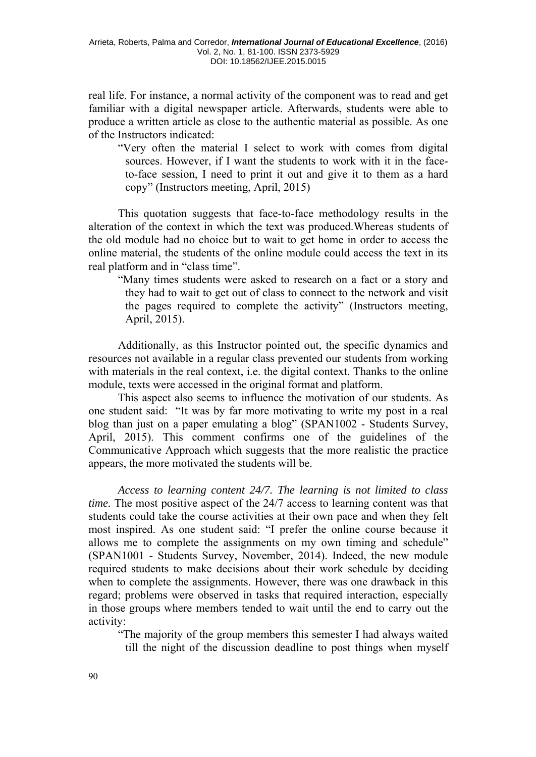real life. For instance, a normal activity of the component was to read and get familiar with a digital newspaper article. Afterwards, students were able to produce a written article as close to the authentic material as possible. As one of the Instructors indicated:

"Very often the material I select to work with comes from digital sources. However, if I want the students to work with it in the face to-face session, I need to print it out and give it to them as a hard copy" (Instructors meeting, April, 2015)

This quotation suggests that face-to-face methodology results in the alteration of the context in which the text was produced.Whereas students of the old module had no choice but to wait to get home in order to access the online material, the students of the online module could access the text in its real platform and in "class time".

"Many times students were asked to research on a fact or a story and they had to wait to get out of class to connect to the network and visit the pages required to complete the activity" (Instructors meeting, April, 2015).

Additionally, as this Instructor pointed out, the specific dynamics and resources not available in a regular class prevented our students from working with materials in the real context, i.e. the digital context. Thanks to the online module, texts were accessed in the original format and platform.

This aspect also seems to influence the motivation of our students. As one student said: "It was by far more motivating to write my post in a real blog than just on a paper emulating a blog" (SPAN1002 - Students Survey, April, 2015). This comment confirms one of the guidelines of the Communicative Approach which suggests that the more realistic the practice appears, the more motivated the students will be.

*Access to learning content 24/7. The learning is not limited to class time.* The most positive aspect of the 24/7 access to learning content was that students could take the course activities at their own pace and when they felt most inspired. As one student said: "I prefer the online course because it allows me to complete the assignments on my own timing and schedule" (SPAN1001 - Students Survey, November, 2014). Indeed, the new module required students to make decisions about their work schedule by deciding when to complete the assignments. However, there was one drawback in this regard; problems were observed in tasks that required interaction, especially in those groups where members tended to wait until the end to carry out the activity:

"The majority of the group members this semester I had always waited till the night of the discussion deadline to post things when myself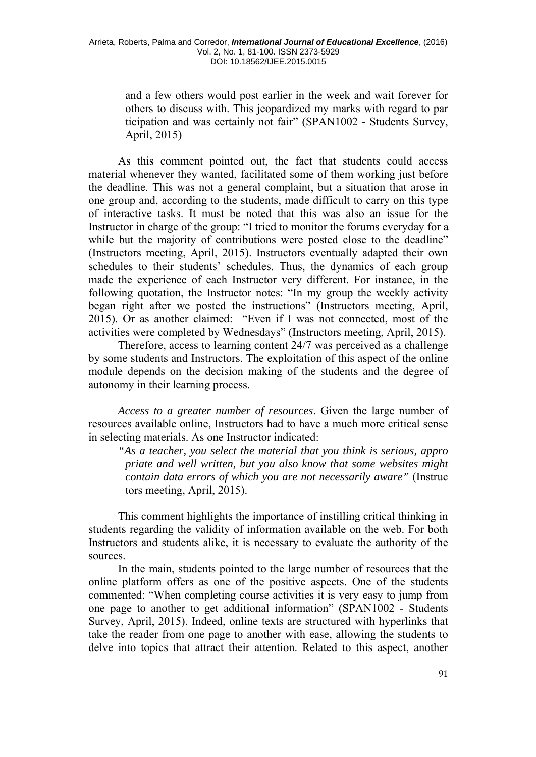and a few others would post earlier in the week and wait forever for others to discuss with. This jeopardized my marks with regard to par ticipation and was certainly not fair" (SPAN1002 - Students Survey, April, 2015)

As this comment pointed out, the fact that students could access material whenever they wanted, facilitated some of them working just before the deadline. This was not a general complaint, but a situation that arose in one group and, according to the students, made difficult to carry on this type of interactive tasks. It must be noted that this was also an issue for the Instructor in charge of the group: "I tried to monitor the forums everyday for a while but the majority of contributions were posted close to the deadline" (Instructors meeting, April, 2015). Instructors eventually adapted their own schedules to their students' schedules. Thus, the dynamics of each group made the experience of each Instructor very different. For instance, in the following quotation, the Instructor notes: "In my group the weekly activity began right after we posted the instructions" (Instructors meeting, April, 2015). Or as another claimed: "Even if I was not connected, most of the activities were completed by Wednesdays" (Instructors meeting, April, 2015).

Therefore, access to learning content 24/7 was perceived as a challenge by some students and Instructors. The exploitation of this aspect of the online module depends on the decision making of the students and the degree of autonomy in their learning process.

*Access to a greater number of resources*. Given the large number of resources available online, Instructors had to have a much more critical sense in selecting materials. As one Instructor indicated:

*"As a teacher, you select the material that you think is serious, appro priate and well written, but you also know that some websites might contain data errors of which you are not necessarily aware"* (Instruc tors meeting, April, 2015).

This comment highlights the importance of instilling critical thinking in students regarding the validity of information available on the web. For both Instructors and students alike, it is necessary to evaluate the authority of the sources.

In the main, students pointed to the large number of resources that the online platform offers as one of the positive aspects. One of the students commented: "When completing course activities it is very easy to jump from one page to another to get additional information" (SPAN1002 - Students Survey, April, 2015). Indeed, online texts are structured with hyperlinks that take the reader from one page to another with ease, allowing the students to delve into topics that attract their attention. Related to this aspect, another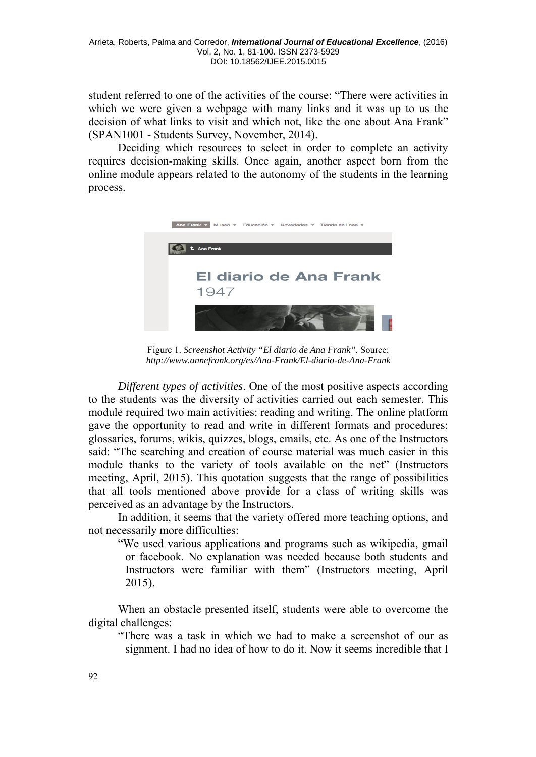student referred to one of the activities of the course: "There were activities in which we were given a webpage with many links and it was up to us the decision of what links to visit and which not, like the one about Ana Frank" (SPAN1001 - Students Survey, November, 2014).

Deciding which resources to select in order to complete an activity requires decision-making skills. Once again, another aspect born from the online module appears related to the autonomy of the students in the learning process.



Figure 1. *Screenshot Activity "El diario de Ana Frank".* Source: *[http://www.annefrank.org/es/Ana-Frank/El-diario-de-Ana-Fran](http://www.annefrank.org/es/Ana-Frank/El-diario-de-Ana-Frank/)k* 

*Different types of activities*. One of the most positive aspects according to the students was the diversity of activities carried out each semester. This module required two main activities: reading and writing. The online platform gave the opportunity to read and write in different formats and procedures: glossaries, forums, wikis, quizzes, blogs, emails, etc. As one of the Instructors said: "The searching and creation of course material was much easier in this module thanks to the variety of tools available on the net" (Instructors meeting, April, 2015). This quotation suggests that the range of possibilities that all tools mentioned above provide for a class of writing skills was perceived as an advantage by the Instructors.

In addition, it seems that the variety offered more teaching options, and not necessarily more difficulties:

"We used various applications and programs such as wikipedia, gmail or facebook. No explanation was needed because both students and Instructors were familiar with them" (Instructors meeting, April 2015).

When an obstacle presented itself, students were able to overcome the digital challenges:

"There was a task in which we had to make a screenshot of our as signment. I had no idea of how to do it. Now it seems incredible that I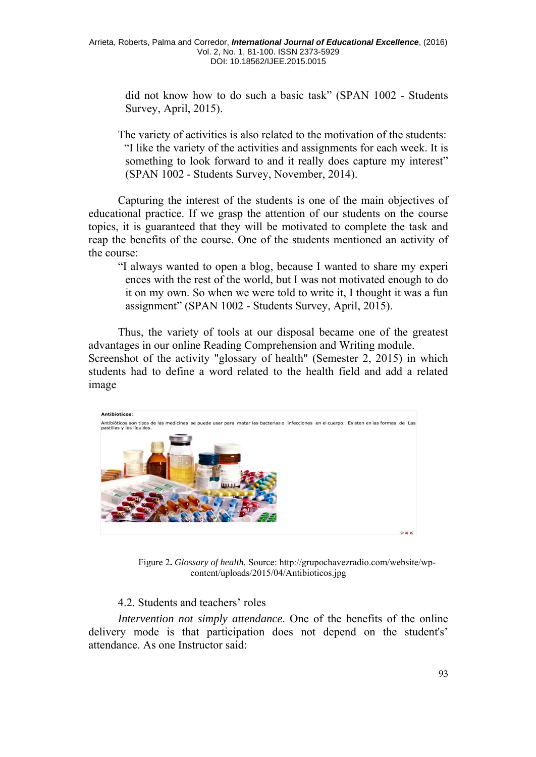did not know how to do such a basic task" (SPAN 1002 - Students Survey, April, 2015).

The variety of activities is also related to the motivation of the students: "I like the variety of the activities and assignments for each week. It is something to look forward to and it really does capture my interest" (SPAN 1002 - Students Survey, November, 2014).

Capturing the interest of the students is one of the main objectives of educational practice. If we grasp the attention of our students on the course topics, it is guaranteed that they will be motivated to complete the task and reap the benefits of the course. One of the students mentioned an activity of the course:

"I always wanted to open a blog, because I wanted to share my experi ences with the rest of the world, but I was not motivated enough to do it on my own. So when we were told to write it, I thought it was a fun assignment" (SPAN 1002 - Students Survey, April, 2015).

Thus, the variety of tools at our disposal became one of the greatest advantages in our online Reading Comprehension and Writing module. Screenshot of the activity "glossary of health" (Semester 2, 2015) in which students had to define a word related to the health field and add a related image



Figure 2**.** *Glossary of health.* Source: http://grupochavezradio.com/website/wpcontent/uploads/2015/04/Antibioticos.jpg

# 4.2. Students and teachers' roles

*Intervention not simply attendance*. One of the benefits of the online delivery mode is that participation does not depend on the student's' attendance. As one Instructor said: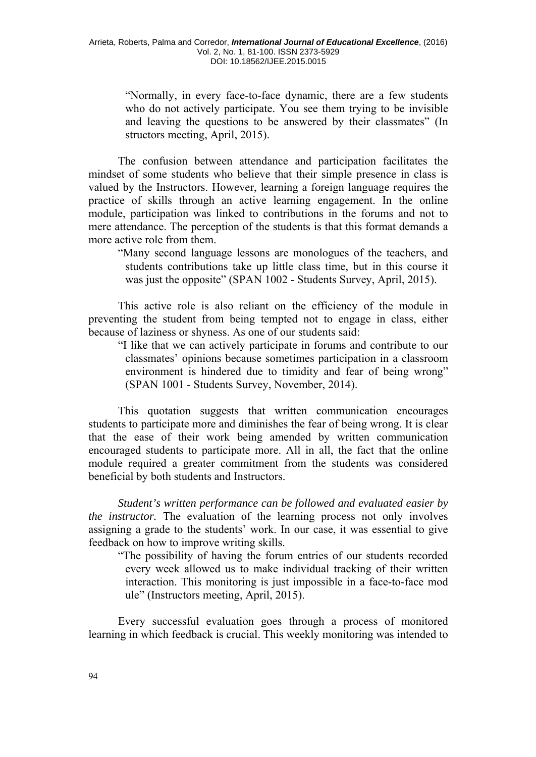"Normally, in every face-to-face dynamic, there are a few students who do not actively participate. You see them trying to be invisible and leaving the questions to be answered by their classmates" (In structors meeting, April, 2015).

The confusion between attendance and participation facilitates the mindset of some students who believe that their simple presence in class is valued by the Instructors. However, learning a foreign language requires the practice of skills through an active learning engagement. In the online module, participation was linked to contributions in the forums and not to mere attendance. The perception of the students is that this format demands a more active role from them.

"Many second language lessons are monologues of the teachers, and students contributions take up little class time, but in this course it was just the opposite" (SPAN 1002 - Students Survey, April, 2015).

This active role is also reliant on the efficiency of the module in preventing the student from being tempted not to engage in class, either because of laziness or shyness. As one of our students said:

"I like that we can actively participate in forums and contribute to our classmates' opinions because sometimes participation in a classroom environment is hindered due to timidity and fear of being wrong" (SPAN 1001 - Students Survey, November, 2014).

This quotation suggests that written communication encourages students to participate more and diminishes the fear of being wrong. It is clear that the ease of their work being amended by written communication encouraged students to participate more. All in all, the fact that the online module required a greater commitment from the students was considered beneficial by both students and Instructors.

*Student's written performance can be followed and evaluated easier by the instructor.* The evaluation of the learning process not only involves assigning a grade to the students' work. In our case, it was essential to give feedback on how to improve writing skills.

"The possibility of having the forum entries of our students recorded every week allowed us to make individual tracking of their written interaction. This monitoring is just impossible in a face-to-face mod ule" (Instructors meeting, April, 2015).

Every successful evaluation goes through a process of monitored learning in which feedback is crucial. This weekly monitoring was intended to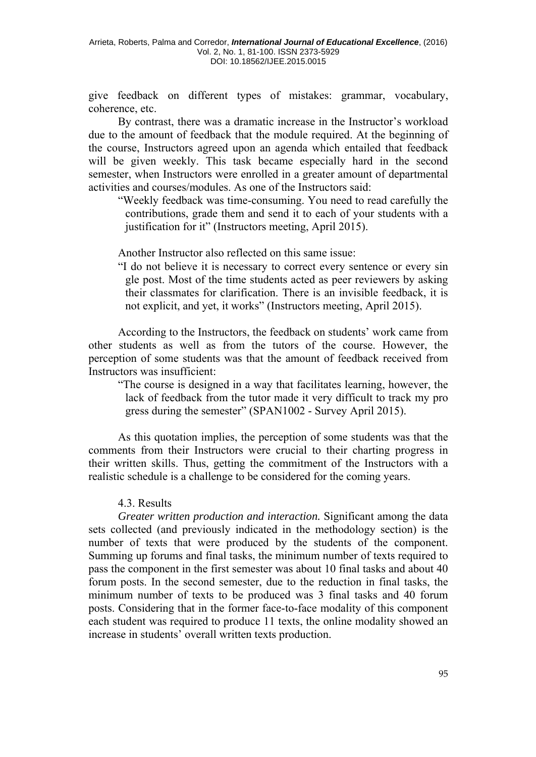give feedback on different types of mistakes: grammar, vocabulary, coherence, etc.

By contrast, there was a dramatic increase in the Instructor's workload due to the amount of feedback that the module required. At the beginning of the course, Instructors agreed upon an agenda which entailed that feedback will be given weekly. This task became especially hard in the second semester, when Instructors were enrolled in a greater amount of departmental activities and courses/modules. As one of the Instructors said:

"Weekly feedback was time-consuming. You need to read carefully the contributions, grade them and send it to each of your students with a justification for it" (Instructors meeting, April 2015).

Another Instructor also reflected on this same issue:

"I do not believe it is necessary to correct every sentence or every sin gle post. Most of the time students acted as peer reviewers by asking their classmates for clarification. There is an invisible feedback, it is not explicit, and yet, it works" (Instructors meeting, April 2015).

According to the Instructors, the feedback on students' work came from other students as well as from the tutors of the course. However, the perception of some students was that the amount of feedback received from Instructors was insufficient:

"The course is designed in a way that facilitates learning, however, the lack of feedback from the tutor made it very difficult to track my pro gress during the semester" (SPAN1002 - Survey April 2015).

As this quotation implies, the perception of some students was that the comments from their Instructors were crucial to their charting progress in their written skills. Thus, getting the commitment of the Instructors with a realistic schedule is a challenge to be considered for the coming years.

#### 4.3. Results

*Greater written production and interaction.* Significant among the data sets collected (and previously indicated in the methodology section) is the number of texts that were produced by the students of the component. Summing up forums and final tasks, the minimum number of texts required to pass the component in the first semester was about 10 final tasks and about 40 forum posts. In the second semester, due to the reduction in final tasks, the minimum number of texts to be produced was 3 final tasks and 40 forum posts. Considering that in the former face-to-face modality of this component each student was required to produce 11 texts, the online modality showed an increase in students' overall written texts production.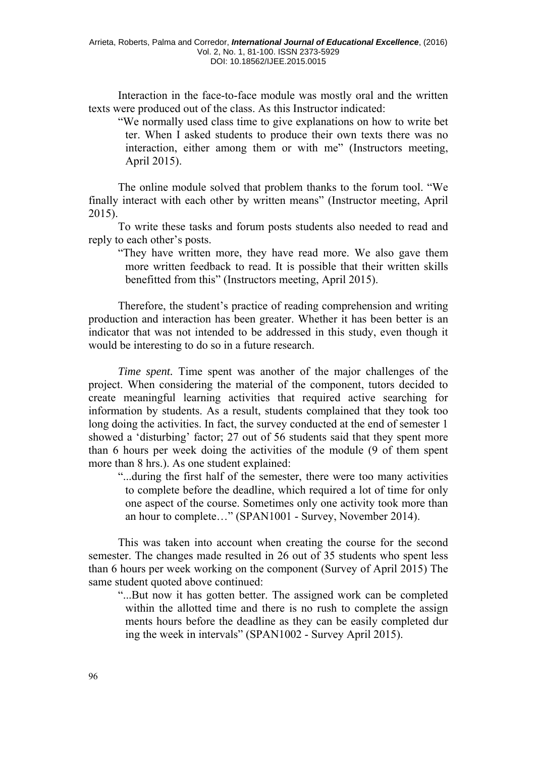Interaction in the face-to-face module was mostly oral and the written texts were produced out of the class. As this Instructor indicated:

"We normally used class time to give explanations on how to write bet ter. When I asked students to produce their own texts there was no interaction, either among them or with me" (Instructors meeting, April 2015).

The online module solved that problem thanks to the forum tool. "We finally interact with each other by written means" (Instructor meeting, April 2015).

To write these tasks and forum posts students also needed to read and reply to each other's posts.

"They have written more, they have read more. We also gave them more written feedback to read. It is possible that their written skills benefitted from this" (Instructors meeting, April 2015).

Therefore, the student's practice of reading comprehension and writing production and interaction has been greater. Whether it has been better is an indicator that was not intended to be addressed in this study, even though it would be interesting to do so in a future research.

*Time spent.* Time spent was another of the major challenges of the project. When considering the material of the component, tutors decided to create meaningful learning activities that required active searching for information by students. As a result, students complained that they took too long doing the activities. In fact, the survey conducted at the end of semester 1 showed a 'disturbing' factor; 27 out of 56 students said that they spent more than 6 hours per week doing the activities of the module (9 of them spent more than 8 hrs.). As one student explained:

"...during the first half of the semester, there were too many activities to complete before the deadline, which required a lot of time for only one aspect of the course. Sometimes only one activity took more than an hour to complete…" (SPAN1001 - Survey, November 2014).

This was taken into account when creating the course for the second semester. The changes made resulted in 26 out of 35 students who spent less than 6 hours per week working on the component (Survey of April 2015) The same student quoted above continued:

"...But now it has gotten better. The assigned work can be completed within the allotted time and there is no rush to complete the assign ments hours before the deadline as they can be easily completed dur ing the week in intervals" (SPAN1002 - Survey April 2015).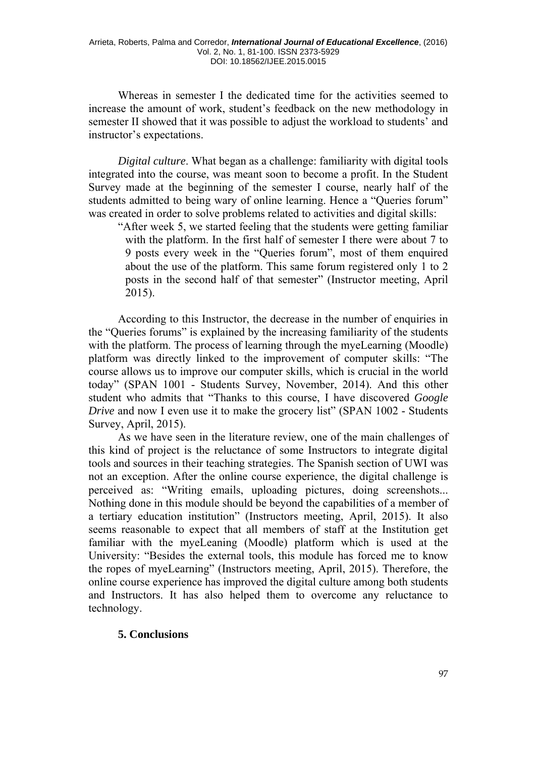Whereas in semester I the dedicated time for the activities seemed to increase the amount of work, student's feedback on the new methodology in semester II showed that it was possible to adjust the workload to students' and instructor's expectations.

*Digital culture*. What began as a challenge: familiarity with digital tools integrated into the course, was meant soon to become a profit. In the Student Survey made at the beginning of the semester I course, nearly half of the students admitted to being wary of online learning. Hence a "Queries forum" was created in order to solve problems related to activities and digital skills:

"After week 5, we started feeling that the students were getting familiar with the platform. In the first half of semester I there were about 7 to 9 posts every week in the "Queries forum", most of them enquired about the use of the platform. This same forum registered only 1 to 2 posts in the second half of that semester" (Instructor meeting, April 2015).

According to this Instructor, the decrease in the number of enquiries in the "Queries forums" is explained by the increasing familiarity of the students with the platform. The process of learning through the myeLearning (Moodle) platform was directly linked to the improvement of computer skills: "The course allows us to improve our computer skills, which is crucial in the world today" (SPAN 1001 - Students Survey, November, 2014). And this other student who admits that "Thanks to this course, I have discovered *Google Drive* and now I even use it to make the grocery list" (SPAN 1002 - Students Survey, April, 2015).

As we have seen in the literature review, one of the main challenges of this kind of project is the reluctance of some Instructors to integrate digital tools and sources in their teaching strategies. The Spanish section of UWI was not an exception. After the online course experience, the digital challenge is perceived as: "Writing emails, uploading pictures, doing screenshots... Nothing done in this module should be beyond the capabilities of a member of a tertiary education institution" (Instructors meeting, April, 2015). It also seems reasonable to expect that all members of staff at the Institution get familiar with the myeLeaning (Moodle) platform which is used at the University: "Besides the external tools, this module has forced me to know the ropes of myeLearning" (Instructors meeting, April, 2015). Therefore, the online course experience has improved the digital culture among both students and Instructors. It has also helped them to overcome any reluctance to technology.

#### **5. Conclusions**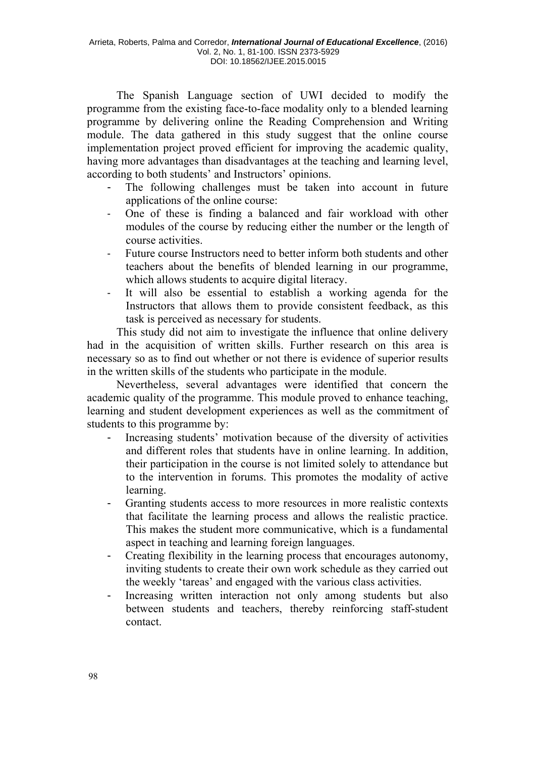The Spanish Language section of UWI decided to modify the programme from the existing face-to-face modality only to a blended learning programme by delivering online the Reading Comprehension and Writing module. The data gathered in this study suggest that the online course implementation project proved efficient for improving the academic quality, having more advantages than disadvantages at the teaching and learning level, according to both students' and Instructors' opinions.

- The following challenges must be taken into account in future applications of the online course:
- One of these is finding a balanced and fair workload with other modules of the course by reducing either the number or the length of course activities.
- Future course Instructors need to better inform both students and other teachers about the benefits of blended learning in our programme, which allows students to acquire digital literacy.
- It will also be essential to establish a working agenda for the Instructors that allows them to provide consistent feedback, as this task is perceived as necessary for students.

This study did not aim to investigate the influence that online delivery had in the acquisition of written skills. Further research on this area is necessary so as to find out whether or not there is evidence of superior results in the written skills of the students who participate in the module.

Nevertheless, several advantages were identified that concern the academic quality of the programme. This module proved to enhance teaching, learning and student development experiences as well as the commitment of students to this programme by:

- Increasing students' motivation because of the diversity of activities and different roles that students have in online learning. In addition, their participation in the course is not limited solely to attendance but to the intervention in forums. This promotes the modality of active learning.
- Granting students access to more resources in more realistic contexts that facilitate the learning process and allows the realistic practice. This makes the student more communicative, which is a fundamental aspect in teaching and learning foreign languages.
- Creating flexibility in the learning process that encourages autonomy, inviting students to create their own work schedule as they carried out the weekly 'tareas' and engaged with the various class activities.
- Increasing written interaction not only among students but also between students and teachers, thereby reinforcing staff-student contact.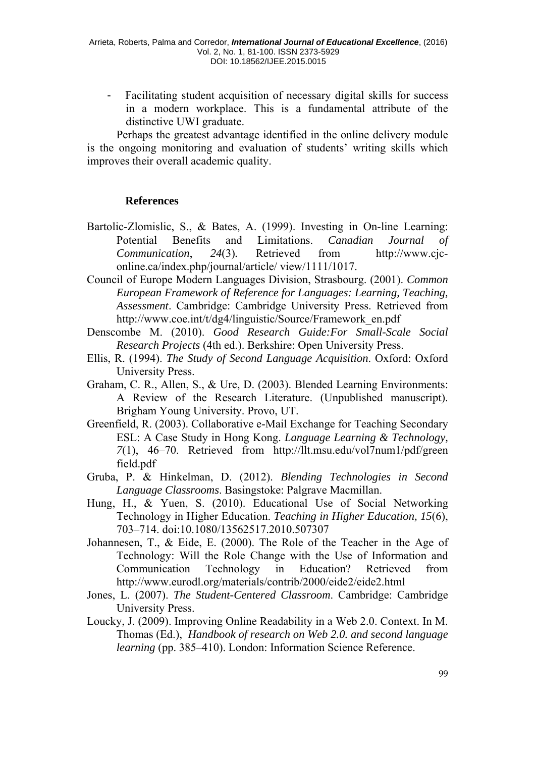- Facilitating student acquisition of necessary digital skills for success in a modern workplace. This is a fundamental attribute of the distinctive UWI graduate.

Perhaps the greatest advantage identified in the online delivery module is the ongoing monitoring and evaluation of students' writing skills which improves their overall academic quality.

## **References**

- Bartolic-Zlomislic, S., & Bates, A. (1999). Investing in On-line Learning: Potential Benefits and Limitations. *Canadian Journal of Communication*, *24*(3)*.* Retrieved from[http://www.cjc](http://www.cjc-online.ca/index.php/journal/article/view/1111/1017)[online.ca/index.php/journal/article/](http://www.cjc-online.ca/index.php/journal/article/view/1111/1017) [view/1111/101](http://www.cjc-online.ca/index.php/journal/article/view/1111/1017)7.
- Council of Europe Modern Languages Division, Strasbourg. (2001). *Common European Framework of Reference for Languages: Learning, Teaching, Assessment*. Cambridge: Cambridge University Press. Retrieved from http://www.coe.int/t/dg4/linguistic/Source/Framework\_en.pdf
- Denscombe M. (2010). *Good Research Guide:For Small-Scale Social Research Projects* (4th ed.). Berkshire: Open University Press.
- Ellis, R. (1994). *The Study of Second Language Acquisition*. Oxford: Oxford University Press.
- Graham, C. R., Allen, S., & Ure, D. (2003). Blended Learning Environments: A Review of the Research Literature. (Unpublished manuscript). Brigham Young University. Provo, UT.
- Greenfield, R. (2003). Collaborative e-Mail Exchange for Teaching Secondary ESL: A Case Study in Hong Kong. *Language Learning & Technology, 7*(1), 46–70. Retrieved from http://llt.msu.edu/vol7num1/pdf/green field.pdf
- Gruba, P. & Hinkelman, D. (2012). *Blending Technologies in Second Language Classrooms*. Basingstoke: Palgrave Macmillan.
- Hung, H., & Yuen, S. (2010). Educational Use of Social Networking Technology in Higher Education. *Teaching in Higher Education, 15*(6), 703–714. doi:10.1080/13562517.2010.507307
- Johannesen, T., & Eide, E. (2000). The Role of the Teacher in the Age of Technology: Will the Role Change with the Use of Information and Communication Technology in Education? Retrieved from http://www.eurodl.org/materials/contrib/2000/eide2/eide2.html
- Jones, L. (2007). *The Student-Centered Classroom*. Cambridge: Cambridge University Press.
- Loucky, J. (2009). Improving Online Readability in a Web 2.0. Context. In M. Thomas (Ed.), *Handbook of research on Web 2.0. and second language learning* (pp. 385–410). London: Information Science Reference.